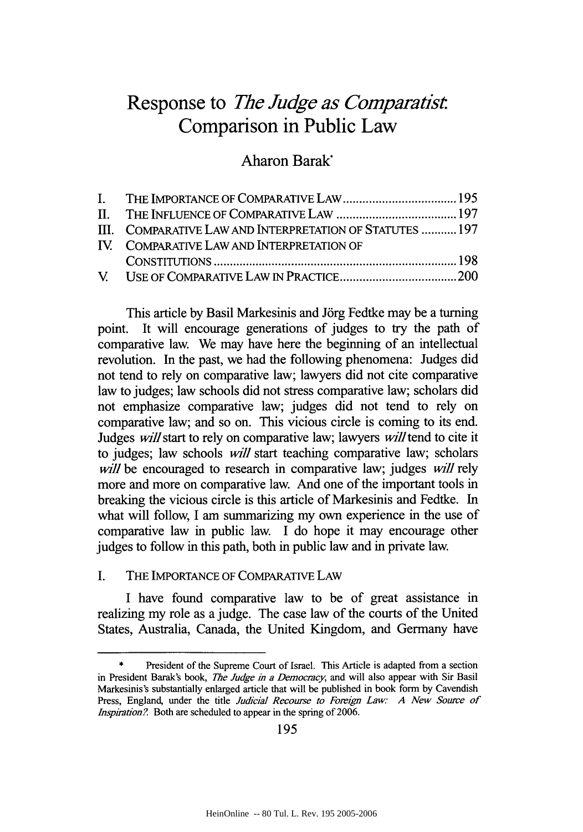# **Response to** *The Judge as Comparatist* **Comparison in Public Law**

Aharon Bara&

| III. COMPARATIVE LAW AND INTERPRETATION OF STATUTES  197 |  |
|----------------------------------------------------------|--|
| IV. COMPARATIVE LAW AND INTERPRETATION OF                |  |
|                                                          |  |
|                                                          |  |

This article by Basil Markesinis and Jörg Fedtke may be a turning point. It will encourage generations of judges to try the path of comparative law. We may have here the beginning of an intellectual revolution. In the past, we had the following phenomena: Judges did not tend to rely on comparative law; lawyers did not cite comparative law to judges; law schools did not stress comparative law; scholars did not emphasize comparative law; judges did not tend to rely on comparative law; and so on. This vicious circle is coming to its end. Judges *will* start to rely on comparative law; lawyers *will* tend to cite it to judges; law schools *will* start teaching comparative law; scholars *will* be encouraged to research in comparative law; judges *will* rely more and more on comparative law. And one of the important tools in breaking the vicious circle is this article of Markesinis and Fedtke. In what will follow, I am summarizing my own experience in the use of comparative law in public law. I do hope it may encourage other judges to follow in this path, both in public law and in private law.

#### **I.** THE IMPORTANCE OF COMPARATIVE LAW

I have found comparative law to be of great assistance in realizing my role as a judge. The case law of the courts of the United States, Australia, Canada, the United Kingdom, and Germany have

President of the Supreme Court of Israel. This Article is adapted from a section in President Barak's book, *The Judge in a Democracy,* and will also appear with Sir Basil Markesinis's substantially enlarged article that will be published in book form by Cavendish Press, England, under the title *Judicial Recourse to Foreign Law: A New Source of Inspiration?* Both are scheduled to appear in the spring of 2006.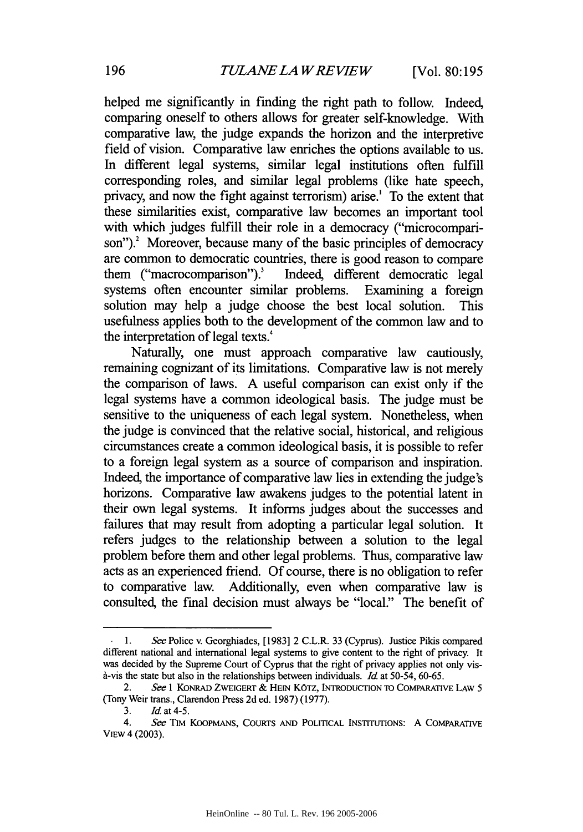helped me significantly in finding the right path to follow. Indeed, comparing oneself to others allows for greater self-knowledge. With comparative law, the judge expands the horizon and the interpretive field of vision. Comparative law enriches the options available to us. In different legal systems, similar legal institutions often fulfill corresponding roles, and similar legal problems (like hate speech, privacy, and now the fight against terrorism) arise.' To the extent that these similarities exist, comparative law becomes an important tool with which judges fulfill their role in a democracy ("microcomparison"). $^2$  Moreover, because many of the basic principles of democracy are common to democratic countries, there is good reason to compare them ("macrocomparison").<sup>3</sup> Indeed, different democratic legal systems often encounter similar problems. Examining a foreign solution may help a judge choose the best local solution. This usefulness applies both to the development of the common law and to the interpretation of legal texts.'

Naturally, one must approach comparative law cautiously, remaining cognizant of its limitations. Comparative law is not merely the comparison of laws. A useful comparison can exist only if the legal systems have a common ideological basis. The judge must be sensitive to the uniqueness of each legal system. Nonetheless, when the judge is convinced that the relative social, historical, and religious circumstances create a common ideological basis, it is possible to refer to a foreign legal system as a source of comparison and inspiration. Indeed, the importance of comparative law lies in extending the judge's horizons. Comparative law awakens judges to the potential latent in their own legal systems. It informs judges about the successes and failures that may result from adopting a particular legal solution. It refers judges to the relationship between a solution to the legal problem before them and other legal problems. Thus, comparative law acts as an experienced friend. Of course, there is no obligation to refer to comparative law. Additionally, even when comparative law is consulted, the final decision must always be "local." The benefit of

<sup>1.</sup> *See* Police v. Georghiades, [1983] 2 C.L.R. 33 (Cyprus). Justice Pikis compared different national and international legal systems to give content to the right of privacy. It was decided by the Supreme Court of Cyprus that the right of privacy applies not only visa-vis the state but also in the relationships between individuals. *Id* at 50-54, 60-65.

<sup>2.</sup> *See* 1 KONRAD ZWEIGERT & HEEN KOTz, INTRODUCTION TO **COMPARATIVE** LAW 5 (Tony Weir trans., Clarendon Press 2d ed. 1987) (1977).

<sup>3.</sup> *Id.* at 4-5.

<sup>4.</sup> *See* Tim KooPMANS, COURTS **AND** POLITICAL **INSTITUTIONS:** A CoMPARAnvE VIEW 4 (2003).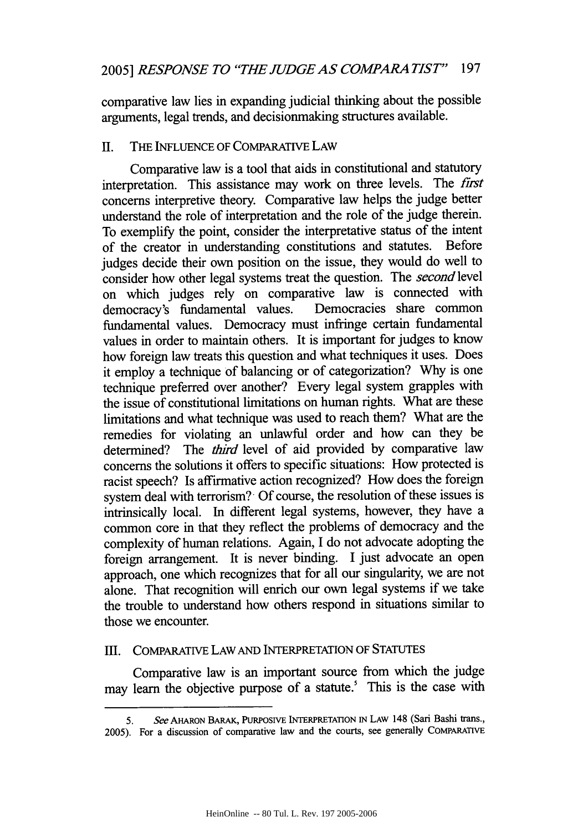comparative law lies in expanding judicial thinking about the possible arguments, legal trends, and decisionmaking structures available.

#### II. THE INFLUENCE OF COMPARATIVE LAW

Comparative law is a tool that aids in constitutional and statutory interpretation. This assistance may work on three levels. The first concerns interpretive theory. Comparative law helps the judge better understand the role of interpretation and the role of the judge therein. To exemplify the point, consider the interpretative status of the intent of the creator in understanding constitutions and statutes. Before judges decide their own position on the issue, they would do well to consider how other legal systems treat the question. The *second* level on which judges rely on comparative law is connected with democracy's fundamental values. Democracies share common democracy's fundamental values. fundamental values. Democracy must infringe certain fundamental values in order to maintain others. It is important for judges to know how foreign law treats this question and what techniques it uses. Does it employ a technique of balancing or of categorization? Why is one technique preferred over another? Every legal system grapples with the issue of constitutional limitations on human rights. What are these limitations and what technique was used to reach them? What are the remedies for violating an unlawful order and how can they be determined? The *third* level of aid provided by comparative law concerns the solutions it offers to specific situations: How protected is racist speech? Is affirmative action recognized? How does the foreign system deal with terrorism? Of course, the resolution of these issues is intrinsically local. In different legal systems, however, they have a common core in that they reflect the problems of democracy and the complexity of human relations. Again, I do not advocate adopting the foreign arrangement. It is never binding. I just advocate an open approach, one which recognizes that for all our singularity, we are not alone. That recognition will enrich our own legal systems if we take the trouble to understand how others respond in situations similar to those we encounter.

#### II. COMPARATIVE LAW **AND** INTERPRETATION OF STATUTES

Comparative law is an important source from which the judge may learn the objective purpose of a statute.' This is the case with

<sup>5.</sup> See AHARON BARAK, PURPOSIVE INTERPRETATION IN **LAW** 148 (Sai Bashi trans., 2005). **For a** discussion **of** comparative **law and** the courts, see generally COMPARATIVE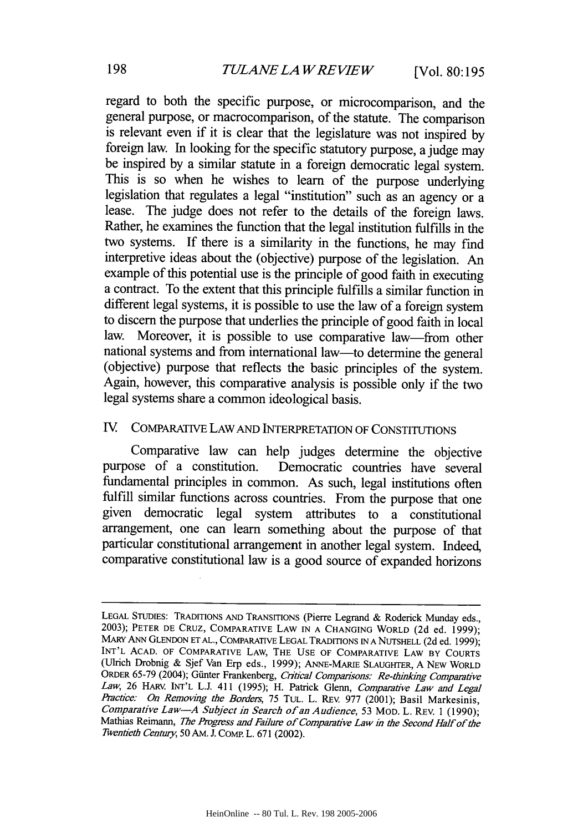regard to both the specific purpose, or microcomparison, and the general purpose, or macrocomparison, of the statute. The comparison is relevant even if it is clear that the legislature was not inspired by foreign law. In looking for the specific statutory purpose, a judge may be inspired by a similar statute in a foreign democratic legal system. This is so when he wishes to learn of the purpose underlying legislation that regulates a legal "institution" such as an agency or a lease. The judge does not refer to the details of the foreign laws. Rather, he examines the function that the legal institution fulfills in the two systems. If there is a similarity in the functions, he may find interpretive ideas about the (objective) purpose of the legislation. An example of this potential use is the principle of good faith in executing a contract. To the extent that this principle fulfills a similar function in different legal systems, it is possible to use the law of a foreign system to discern the purpose that underlies the principle of good faith in local law. Moreover, it is possible to use comparative law-from other national systems and from international law-to determine the general (objective) purpose that reflects the basic principles of the system. Again, however, this comparative analysis is possible only if the two legal systems share a common ideological basis.

## IV. COMPARATIVE LAW AND INTERPRETATION OF CONSTITUTIONS

Comparative law can help judges determine the objective purpose of a constitution. Democratic countries have several fundamental principles in common. As such, legal institutions often fulfill similar functions across countries. From the purpose that one given democratic legal system attributes to a constitutional arrangement, one can learn something about the purpose of that particular constitutional arrangement in another legal system. Indeed, comparative constitutional law is a good source of expanded horizons

**LEGAL** STUDIES: TRADITIONS **AND** TRANSITIONS (Pierre Legrand & Roderick Munday eds., 2003); PETER **DE** CRUZ, COMPARATIVE LAW IN **A CHANGING** WORLD (2d ed. 1999); MARY **ANN GLENDON ET AL.,** COMPARATIVE **LEGAL** TRADITONS **IN A** NUTSHELL (2d ed. 1999); INT'L **ACAD.** OF COMPARATIVE LAW, THE **USE** OF COMPARATIVE LAW **BY COURTS** (Ulrich Drobnig & Sjef Van Erp eds., 1999); ANNE-MARIE SLAUGHTER, A NEW WORLD ORDER 65-79 (2004); Giinter Frankenberg, *Critical Comparisons Re-thinking Comparative Law,* 26 HARV. INT'L L.J. 411 (1995); H. Patrick Glenn, *Comparative Law and Legal Pmctice: On Removing the Borders,* 75 TuL. L. REv 977 (2001); Basil Markesinis, *Comparative Law-A Subject in Search of an Audience,* 53 MOD. L. REV. 1 (1990); Mathias Reimann, *The Progress and Failure of Comparative Law in the Second Half of the Twentieth Century,* 50 AM. J. COMP. L. 671 (2002).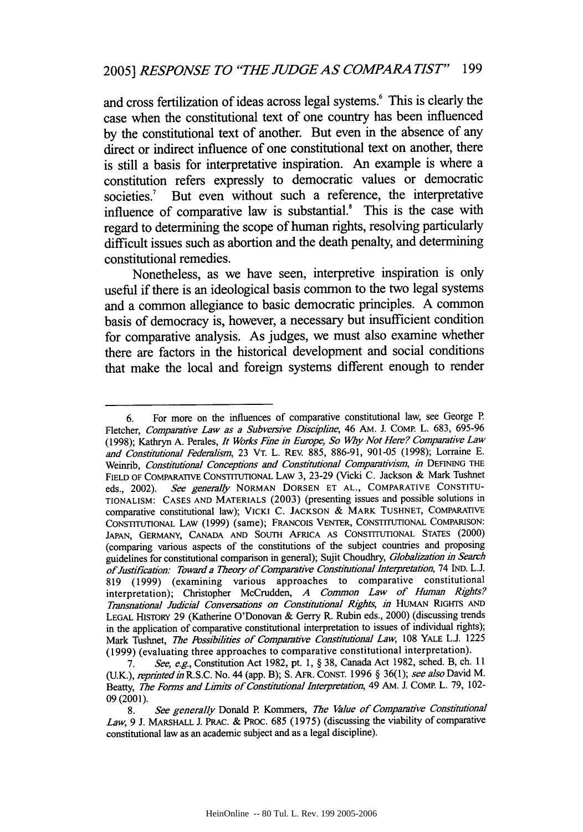and cross fertilization of ideas across legal systems.' This is clearly the case when the constitutional text of one country has been influenced **by** the constitutional text of another. But even in the absence of any direct or indirect influence of one constitutional text on another, there is still a basis for interpretative inspiration. An example is where a constitution refers expressly to democratic values or democratic societies.<sup>7</sup> But even without such a reference, the interpretative influence of comparative law is substantial.<sup>8</sup> This is the case with regard to determining the scope of human rights, resolving particularly difficult issues such as abortion and the death penalty, and determining constitutional remedies.

Nonetheless, as we have seen, interpretive inspiration is only useful if there is an ideological basis common to the two legal systems and a common allegiance to basic democratic principles. **A** common basis of democracy is, however, a necessary but insufficient condition for comparative analysis. As judges, we must also examine whether there are factors in the historical development and social conditions that make the local and foreign systems different enough to render

<sup>6.</sup> For more on the influences of comparative constitutional law, see George P. Fletcher, *Comparative Law as a Subversive Discipline, 46* AM. **J. COMp.** L. **683,** 695-96 **(1998);** Kathryn **A.** Perales, *It Works* **Fine in** *Europe, So Why Not Here? Comparative Law and Constitutional Federalism,* **23** VT. L. REv. **885, 886-91, 901-05 (1998);** Lorraine **E.** Weinib, *Constitutional Conceptions and Constitutional Comparativism, in* **DEFINING** THE **FIELD** OF COMPARATIVE CONSTITUTIONAL LAW **3, 23-29** (Vicki **C.** Jackson **&** Mark Tushnet eds., 2002). *See generally* NORMAN DORSEN **ET AL.,** COMPARATIVE **CONSTITU-**TIONALISM: CASES AND MATERIALS **(2003)** (presenting issues and possible solutions in comparative constitutional law); VICKI **C. JACKSON &** MARK TUSHNET, COMPARATIVE CONSTITUTIONAL **LAW (1999)** (same); FRANCOIS VENTER, CONSTITUTIONAL COMPARISON: JAPAN, GERMANY, CANADA AND SOUTH AFRICA AS CONSTITUTIONAL STATES (2000) (comparing various aspects of the constitutions of the subject countries and proposing guidelines for constitutional comparison in general); Sujit Choudhry, *Globalization in Search of Justification: Toward a Theory of Comparative Constitutional Interpretation,* 74 IND. L.J. **819 (1999)** (examining various approaches to comparative constitutional interpretation); Christopher McCrudden, *A Common Law of Human Rights? Transnational Judicial Conversations on Constitutional Rights, in* HUMAN RIGHTS AND LEGAL HISTORY **29** (Katherine O'Donovan **&** Gerry R. Rubin eds., 2000) (discussing trends in the application of comparative constitutional interpretation to issues of individual rights); Mark Tushnet, *The Possibilities of Comparative Constitutional Law,* **<sup>108</sup>**YALE **L.J. 1225 (1999)** (evaluating three approaches to comparative constitutional interpretation).

**<sup>7.</sup>** *See, e.g.,* Constitution Act **1982,** pt. **1,** § **38,** Canada Act **1982,** sched. B, ch. **11 (U.K.),** *repintedin* R.S.C. No. 44 (app. B); **S. AFR.** CONST. **1996** § **36(1);** *see also* David M. Beatty, *The Forms and Limits of Constitutional Interpretation,* 49 AM. **J.** CoMP. L. **79,** 102- 09(2001).

<sup>8.</sup> *See generally* Donald P. Kommers, *The Value of Comparative Constitutional Law,* 9 J. MARSHALL J. PRAC. & PROC. 685 (1975) (discussing the viability of comparative constitutional law as an academic subject and as a legal discipline).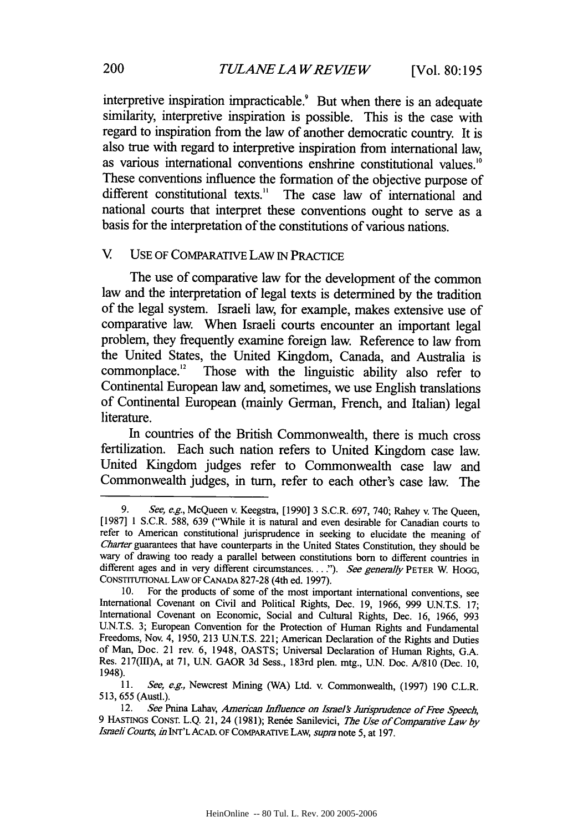interpretive inspiration impracticable.<sup>9</sup> But when there is an adequate similarity, interpretive inspiration is possible. This is the case with regard to inspiration from the law of another democratic country. It is also true with regard to interpretive inspiration from international law, as various international conventions enshrine constitutional values.'" These conventions influence the formation of the objective purpose of different constitutional texts." The case law of international and national courts that interpret these conventions ought to serve as a basis for the interpretation of the constitutions of various nations.

### V. USE OF COMPARATIVE LAW IN PRACTICE

The use of comparative law for the development of the common law and the interpretation of legal texts is determined by the tradition of the legal system. Israeli law, for example, makes extensive use of comparative law. When Israeli courts encounter an important legal problem, they frequently examine foreign law. Reference to law from the United States, the United Kingdom, Canada, and Australia is commonplace.<sup>12</sup> Those with the linguistic ability also refer to Those with the linguistic ability also refer to Continental European law and, sometimes, we use English translations of Continental European (mainly German, French, and Italian) legal literature.

In countries of the British Commonwealth, there is much cross fertilization. Each such nation refers to United Kingdom case law. United Kingdom judges refer to Commonwealth case law and Commonwealth judges, in turn, refer to each other's case law. The

<sup>9.</sup> *See, e.g.,* McQueen v. Keegstra, [1990] 3 S.C.R. 697, 740; Rahey v. The Queen, [1987] 1 S.C.R. 588, 639 ("While it is natural and even desirable for Canadian courts to refer to American constitutional jurisprudence in seeking to elucidate the meaning of *Charter* guarantees that have counterparts in the United States Constitution, they should be wary of drawing too ready a parallel between constitutions born to different countries in different ages and in very different circumstances...."). *See genemlly* PETER W. HOGG, CONSTITUTIONAL LAW OF CANADA 827-28 (4th ed. 1997).

<sup>10.</sup> For the products of some of the most important international conventions, see<br>International Covenant on Civil and Political Rights, Dec. 19, 1966, 999 U.N.T.S. 17;<br>International Covenant on Economic, Social and Cultura U.N.T.S. 3; European Convention for the Protection of Human Rights and Fundamental Freedoms, Nov. 4, 1950, 213 **U.N.T.S.** 221; American Declaration of the Rights and Duties of Man, Doc. 21 rev. 6, 1948, OASTS; Universal Declaration of Human Rights, G.A. Res. 217(IH)A, at 71, U.N. GAOR 3d Sess., 183rd plen. mtg., U.N. Doc. **A/810** (Dec. 10, 1948).

<sup>11.</sup> *See, e.g.,* Newcrest Mining (WA) Ltd. v. Commonwealth, (1997) 190 C.L.R. 513, 655 (Austl.).

<sup>12.</sup> *See* **Pnina** Lahav, *American Influence on Israel Jurisprudence of Free Speech,* 9 HASTINGS CONST. L.Q. 21, 24 (1981); Renée Sanilevici, *The Use of Comparative Law by Israeli Courts, in* INT'L ACAD. OF COMPARATIVE LAW, *supra* note 5, at 197.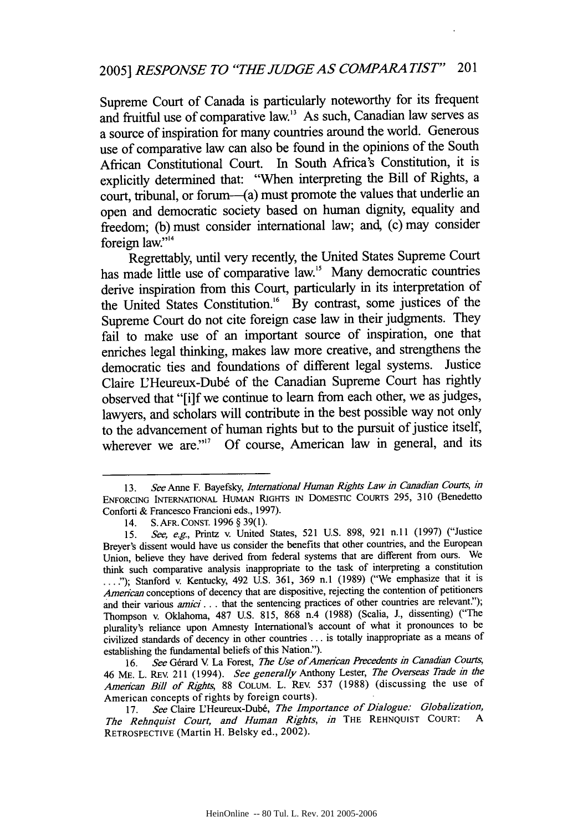Supreme Court of Canada is particularly noteworthy for its frequent and fruitful use of comparative law." As such, Canadian law serves as a source of inspiration for many countries around the world. Generous use of comparative law can also be found in the opinions of the South African Constitutional Court. In South Africa's Constitution, it is explicitly determined that: "When interpreting the Bill of Rights, a court, tribunal, or forum---(a) must promote the values that underlie an open and democratic society based on human dignity, equality and freedom; (b) must consider international law; and, (c) may consider foreign law."<sup>14</sup>

Regrettably, until very recently, the United States Supreme Court has made little use of comparative law.<sup>15</sup> Many democratic countries derive inspiration from this Court, particularly in its interpretation of the United States Constitution.'6 By contrast, some justices of the Supreme Court do not cite foreign case law in their judgments. They fail to make use of an important source of inspiration, one that enriches legal thinking, makes law more creative, and strengthens the democratic ties and foundations of different legal systems. Justice Claire UHeureux-Dub6 of the Canadian Supreme Court has rightly observed that "[i]f we continue to learn from each other, we as judges, lawyers, and scholars will contribute in the best possible way not only to the advancement of human rights but to the pursuit of justice itself, wherever we are."<sup>17</sup> Of course, American law in general, and its

16. *See* Gerard V La Forest, *The Use of Ameican Precedents in Canadian Courts,* 46 ME. L. REV. 211 (1994). *See generally* Anthony Lester, *The Overseas Trade in the American Bill of Rights,* **88 COLUM.** L. REv. **537 (1988)** (discussing the use of American concepts of rights **by** foreign courts).

<sup>13.</sup> *See* Anne **E** Bayefsky, *International Human Rights Law in Canadian Courts, in* ENFORCING INTERNATIONAL HuMAN RIGHTS IN DOMESTIC COURTS 295, 310 (Benedetto Conforti & Francesco Francioni eds., 1997).

<sup>14.</sup> S.AFR. CONST. 1996 § 39(1).

<sup>15.</sup> *See, e.g.,* Printz v. United States, 521 U.S. 898, 921 n.11 (1997) ("Justice Breyer's dissent would have us consider the benefits that other countries, and the European Union, believe they have derived from federal systems that are different from ours. We think such comparative analysis inappropriate to the task of interpreting a constitution ..."); Stanford v. Kentucky, 492 U.S. 361, 369 n.1 (1989) ("We emphasize that it is *American* conceptions of decency that are dispositive, rejecting the contention of petitioners and their various *amici* ... that the sentencing practices of other countries are relevant."); Thompson v. Oklahoma, 487 U.S. 815, 868 n.4 (1988) (Scalia, **J.,** dissenting) ("The plurality's reliance upon Amnesty International's account of what it pronounces to be civilized standards of decency in other countries ... is totally inappropriate as a means of establishing the fundamental beliefs of this Nation.").

**<sup>17.</sup>** *See* Claire ULHeureux-Dub6, *The Importance of Dialogue: Globalization, The Rehnquist Court, and Human Rights, in* THE REHNQUIST COURT: **A** RETROSPECTIVE (Martin H. Belsky ed., 2002).